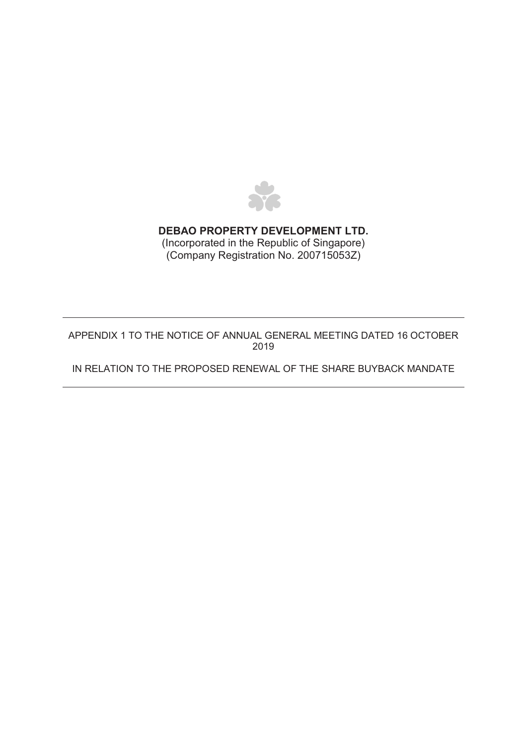

# **DEBAO PROPERTY DEVELOPMENT LTD.**

(Incorporated in the Republic of Singapore) (Company Registration No. 200715053Z)

APPENDIX 1 TO THE NOTICE OF ANNUAL GENERAL MEETING DATED 16 OCTOBER 2019

IN RELATION TO THE PROPOSED RENEWAL OF THE SHARE BUYBACK MANDATE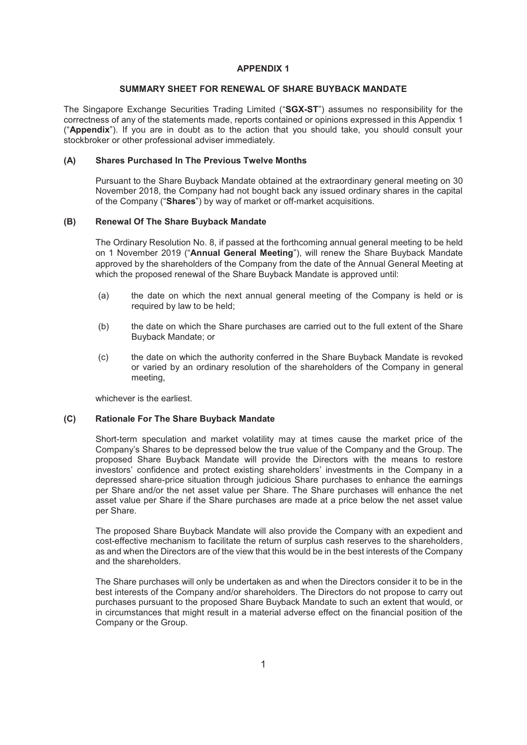## **APPENDIX 1**

## **SUMMARY SHEET FOR RENEWAL OF SHARE BUYBACK MANDATE**

The Singapore Exchange Securities Trading Limited ("SGX-ST") assumes no responsibility for the correctness of any of the statements made, reports contained or opinions expressed in this Appendix 1 ³**Appendix**´. If you are in doubt as to the action that you should take, you should consult your stockbroker or other professional adviser immediately.

## **(A) Shares Purchased In The Previous Twelve Months**

Pursuant to the Share Buyback Mandate obtained at the extraordinary general meeting on 30 November 2018, the Company had not bought back any issued ordinary shares in the capital of the Company ("Shares") by way of market or off-market acquisitions.

## **(B) Renewal Of The Share Buyback Mandate**

The Ordinary Resolution No. 8, if passed at the forthcoming annual general meeting to be held on 1 November 2019 ("Annual General Meeting"), will renew the Share Buyback Mandate approved by the shareholders of the Company from the date of the Annual General Meeting at which the proposed renewal of the Share Buyback Mandate is approved until:

- (a) the date on which the next annual general meeting of the Company is held or is required by law to be held:
- (b) the date on which the Share purchases are carried out to the full extent of the Share Buyback Mandate; or
- (c) the date on which the authority conferred in the Share Buyback Mandate is revoked or varied by an ordinary resolution of the shareholders of the Company in general meeting,

whichever is the earliest.

#### **(C) Rationale For The Share Buyback Mandate**

Short-term speculation and market volatility may at times cause the market price of the Company's Shares to be depressed below the true value of the Company and the Group. The proposed Share Buyback Mandate will provide the Directors with the means to restore investors' confidence and protect existing shareholders' investments in the Company in a depressed share-price situation through judicious Share purchases to enhance the earnings per Share and/or the net asset value per Share. The Share purchases will enhance the net asset value per Share if the Share purchases are made at a price below the net asset value per Share.

The proposed Share Buyback Mandate will also provide the Company with an expedient and cost-effective mechanism to facilitate the return of surplus cash reserves to the shareholders, as and when the Directors are of the view that this would be in the best interests of the Company and the shareholders.

The Share purchases will only be undertaken as and when the Directors consider it to be in the best interests of the Company and/or shareholders. The Directors do not propose to carry out purchases pursuant to the proposed Share Buyback Mandate to such an extent that would, or in circumstances that might result in a material adverse effect on the financial position of the Company or the Group.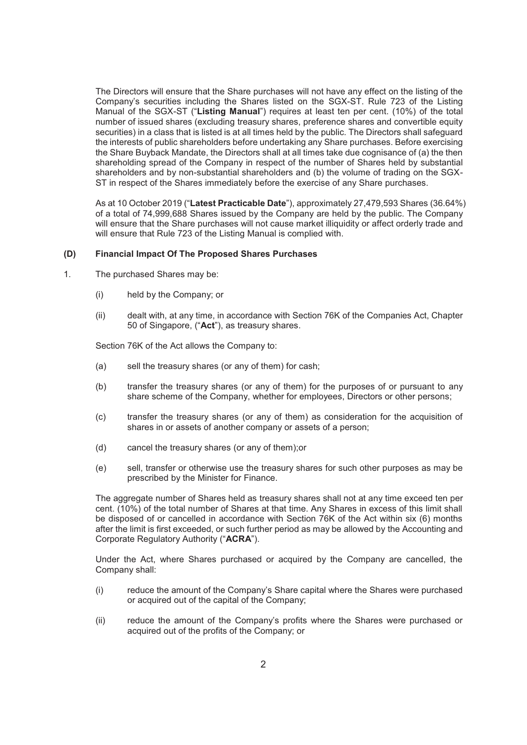The Directors will ensure that the Share purchases will not have any effect on the listing of the Company's securities including the Shares listed on the SGX-ST. Rule 723 of the Listing Manual of the SGX-ST ("Listing Manual") requires at least ten per cent. (10%) of the total number of issued shares (excluding treasury shares, preference shares and convertible equity securities) in a class that is listed is at all times held by the public. The Directors shall safeguard the interests of public shareholders before undertaking any Share purchases. Before exercising the Share Buyback Mandate, the Directors shall at all times take due cognisance of (a) the then shareholding spread of the Company in respect of the number of Shares held by substantial shareholders and by non-substantial shareholders and (b) the volume of trading on the SGX-ST in respect of the Shares immediately before the exercise of any Share purchases.

As at 10 October 2019 ("Latest Practicable Date"), approximately 27,479,593 Shares (36.64%) of a total of 74,999,688 Shares issued by the Company are held by the public. The Company will ensure that the Share purchases will not cause market illiquidity or affect orderly trade and will ensure that Rule 723 of the Listing Manual is complied with.

#### **(D) Financial Impact Of The Proposed Shares Purchases**

- 1. The purchased Shares may be:
	- (i) held by the Company; or
	- (ii) dealt with, at any time, in accordance with Section 76K of the Companies Act, Chapter 50 of Singapore, ("Act"), as treasury shares.

Section 76K of the Act allows the Company to:

- (a) sell the treasury shares (or any of them) for cash;
- (b) transfer the treasury shares (or any of them) for the purposes of or pursuant to any share scheme of the Company, whether for employees, Directors or other persons;
- (c) transfer the treasury shares (or any of them) as consideration for the acquisition of shares in or assets of another company or assets of a person;
- (d) cancel the treasury shares (or any of them);or
- (e) sell, transfer or otherwise use the treasury shares for such other purposes as may be prescribed by the Minister for Finance.

The aggregate number of Shares held as treasury shares shall not at any time exceed ten per cent. (10%) of the total number of Shares at that time. Any Shares in excess of this limit shall be disposed of or cancelled in accordance with Section 76K of the Act within six (6) months after the limit is first exceeded, or such further period as may be allowed by the Accounting and Corporate Regulatory Authority ("ACRA").

Under the Act, where Shares purchased or acquired by the Company are cancelled, the Company shall:

- (i) reduce the amount of the Company's Share capital where the Shares were purchased or acquired out of the capital of the Company;
- (ii) reduce the amount of the Company's profits where the Shares were purchased or acquired out of the profits of the Company; or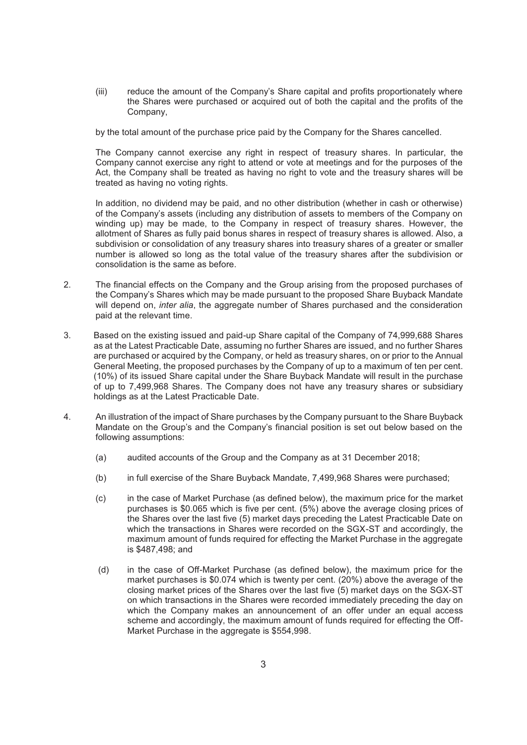(iii) reduce the amount of the Company's Share capital and profits proportionately where the Shares were purchased or acquired out of both the capital and the profits of the Company,

by the total amount of the purchase price paid by the Company for the Shares cancelled.

The Company cannot exercise any right in respect of treasury shares. In particular, the Company cannot exercise any right to attend or vote at meetings and for the purposes of the Act, the Company shall be treated as having no right to vote and the treasury shares will be treated as having no voting rights.

In addition, no dividend may be paid, and no other distribution (whether in cash or otherwise) of the Company's assets (including any distribution of assets to members of the Company on winding up) may be made, to the Company in respect of treasury shares. However, the allotment of Shares as fully paid bonus shares in respect of treasury shares is allowed. Also, a subdivision or consolidation of any treasury shares into treasury shares of a greater or smaller number is allowed so long as the total value of the treasury shares after the subdivision or consolidation is the same as before.

- 2. The financial effects on the Company and the Group arising from the proposed purchases of the Company's Shares which may be made pursuant to the proposed Share Buyback Mandate will depend on, *inter alia*, the aggregate number of Shares purchased and the consideration paid at the relevant time.
- 3. Based on the existing issued and paid-up Share capital of the Company of 74,999,688 Shares as at the Latest Practicable Date, assuming no further Shares are issued, and no further Shares are purchased or acquired by the Company, or held as treasury shares, on or prior to the Annual General Meeting, the proposed purchases by the Company of up to a maximum of ten per cent. (10%) of its issued Share capital under the Share Buyback Mandate will result in the purchase of up to 7,499,968 Shares. The Company does not have any treasury shares or subsidiary holdings as at the Latest Practicable Date.
- 4. An illustration of the impact of Share purchases by the Company pursuant to the Share Buyback Mandate on the Group's and the Company's financial position is set out below based on the following assumptions:
	- (a) audited accounts of the Group and the Company as at 31 December 2018;
	- (b) in full exercise of the Share Buyback Mandate, 7,499,968 Shares were purchased;
	- (c) in the case of Market Purchase (as defined below), the maximum price for the market purchases is \$0.065 which is five per cent. (5%) above the average closing prices of the Shares over the last five (5) market days preceding the Latest Practicable Date on which the transactions in Shares were recorded on the SGX-ST and accordingly, the maximum amount of funds required for effecting the Market Purchase in the aggregate is \$487,498; and
	- (d) in the case of Off-Market Purchase (as defined below), the maximum price for the market purchases is \$0.074 which is twenty per cent. (20%) above the average of the closing market prices of the Shares over the last five (5) market days on the SGX-ST on which transactions in the Shares were recorded immediately preceding the day on which the Company makes an announcement of an offer under an equal access scheme and accordingly, the maximum amount of funds required for effecting the Off-Market Purchase in the aggregate is \$554,998.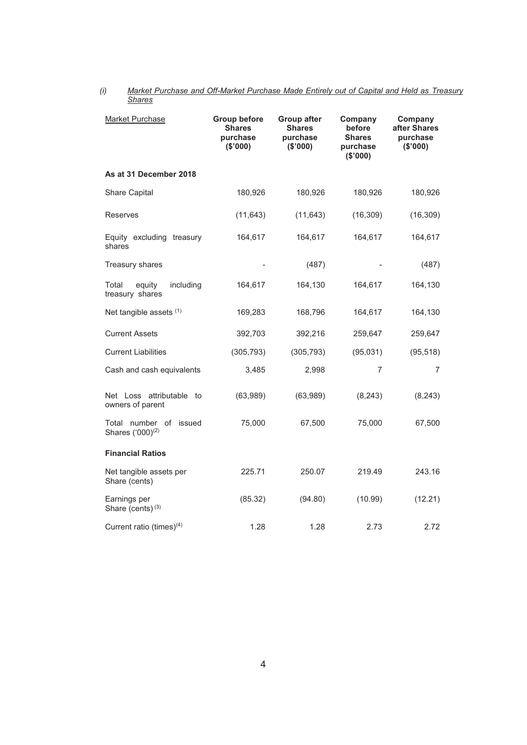| <b>Market Purchase</b>                                 | <b>Group before</b><br><b>Shares</b><br>purchase<br>(\$'000) | Group after<br><b>Shares</b><br>purchase<br>(\$'000) | Company<br>before<br><b>Shares</b><br>purchase<br>(\$'000) | Company<br>after Shares<br>purchase<br>(\$000) |  |
|--------------------------------------------------------|--------------------------------------------------------------|------------------------------------------------------|------------------------------------------------------------|------------------------------------------------|--|
| As at 31 December 2018                                 |                                                              |                                                      |                                                            |                                                |  |
| <b>Share Capital</b>                                   | 180,926                                                      | 180,926                                              | 180,926                                                    | 180,926                                        |  |
| Reserves                                               | (11, 643)                                                    | (11, 643)                                            | (16, 309)                                                  | (16, 309)                                      |  |
| Equity excluding treasury<br>shares                    | 164,617                                                      | 164,617                                              | 164,617                                                    | 164,617                                        |  |
| <b>Treasury shares</b>                                 |                                                              | (487)                                                |                                                            | (487)                                          |  |
| including<br>Total<br>equity<br>treasury shares        | 164,617                                                      | 164,130                                              | 164,617                                                    | 164,130                                        |  |
| Net tangible assets (1)                                | 169,283                                                      | 168,796                                              | 164,617                                                    | 164,130                                        |  |
| <b>Current Assets</b>                                  | 392,703                                                      | 392,216                                              | 259,647                                                    | 259,647                                        |  |
| <b>Current Liabilities</b>                             | (305, 793)                                                   | (305, 793)                                           | (95,031)                                                   | (95, 518)                                      |  |
| Cash and cash equivalents                              | 3,485                                                        | 2,998                                                | 7                                                          | 7                                              |  |
| Net Loss attributable to<br>owners of parent           | (63,989)                                                     | (63,989)                                             | (8, 243)                                                   | (8, 243)                                       |  |
| Total number of issued<br>Shares ('000) <sup>(2)</sup> | 75,000                                                       | 67,500                                               | 75,000                                                     | 67,500                                         |  |
| <b>Financial Ratios</b>                                |                                                              |                                                      |                                                            |                                                |  |
| Net tangible assets per<br>Share (cents)               | 225.71                                                       | 250.07                                               | 219.49                                                     | 243.16                                         |  |
| Earnings per<br>Share (cents) <sup>(3)</sup>           | (85.32)                                                      | (94.80)                                              | (10.99)                                                    | (12.21)                                        |  |
| Current ratio (times) <sup>(4)</sup>                   | 1.28                                                         | 1.28                                                 | 2.73                                                       | 2.72                                           |  |

# *(i) Market Purchase and Off-Market Purchase Made Entirely out of Capital and Held as Treasury Shares*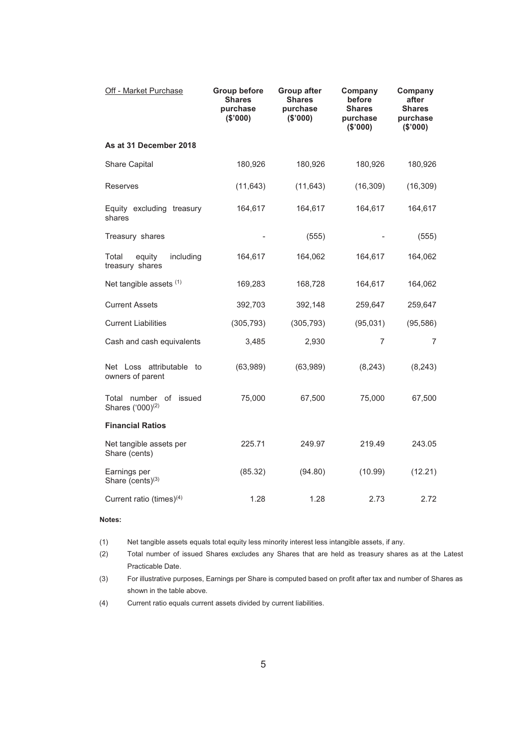| Off - Market Purchase                                     | <b>Group before</b><br><b>Group after</b><br><b>Shares</b><br><b>Shares</b><br>purchase<br>purchase<br>(\$'000)<br>(\$'000) |            | Company<br>before<br><b>Shares</b><br>purchase<br>(\$000) | Company<br>after<br><b>Shares</b><br>purchase<br>(\$'000) |  |
|-----------------------------------------------------------|-----------------------------------------------------------------------------------------------------------------------------|------------|-----------------------------------------------------------|-----------------------------------------------------------|--|
| As at 31 December 2018                                    |                                                                                                                             |            |                                                           |                                                           |  |
| Share Capital                                             | 180,926                                                                                                                     | 180,926    | 180,926                                                   | 180,926                                                   |  |
| Reserves                                                  | (11, 643)                                                                                                                   | (11, 643)  | (16, 309)                                                 | (16, 309)                                                 |  |
| Equity excluding treasury<br>shares                       | 164,617                                                                                                                     | 164,617    | 164,617                                                   | 164,617                                                   |  |
| Treasury shares                                           |                                                                                                                             | (555)      |                                                           | (555)                                                     |  |
| Total<br>including<br>equity<br>treasury shares           | 164,617                                                                                                                     | 164,062    | 164,617                                                   | 164,062                                                   |  |
| Net tangible assets (1)                                   | 169,283                                                                                                                     | 168,728    | 164,617                                                   | 164,062                                                   |  |
| <b>Current Assets</b>                                     | 392,703                                                                                                                     | 392,148    | 259,647                                                   | 259,647                                                   |  |
| <b>Current Liabilities</b>                                | (305, 793)                                                                                                                  | (305, 793) | (95,031)                                                  | (95, 586)                                                 |  |
| Cash and cash equivalents                                 | 3,485                                                                                                                       | 2,930      | 7                                                         | 7                                                         |  |
| Net Loss attributable to<br>owners of parent              | (63,989)                                                                                                                    | (63,989)   | (8, 243)                                                  | (8, 243)                                                  |  |
| Total number<br>of issued<br>Shares ('000) <sup>(2)</sup> | 75,000                                                                                                                      | 67,500     | 75,000                                                    | 67,500                                                    |  |
| <b>Financial Ratios</b>                                   |                                                                                                                             |            |                                                           |                                                           |  |
| Net tangible assets per<br>Share (cents)                  | 225.71                                                                                                                      | 249.97     | 219.49                                                    | 243.05                                                    |  |
| Earnings per<br>Share (cents) $(3)$                       | (85.32)                                                                                                                     | (94.80)    | (10.99)                                                   | (12.21)                                                   |  |
| Current ratio (times) <sup>(4)</sup>                      | 1.28                                                                                                                        | 1.28       | 2.73                                                      | 2.72                                                      |  |

#### **Notes:**

(1) Net tangible assets equals total equity less minority interest less intangible assets, if any.

- (2) Total number of issued Shares excludes any Shares that are held as treasury shares as at the Latest Practicable Date.
- (3) For illustrative purposes, Earnings per Share is computed based on profit after tax and number of Shares as shown in the table above.
- (4) Current ratio equals current assets divided by current liabilities.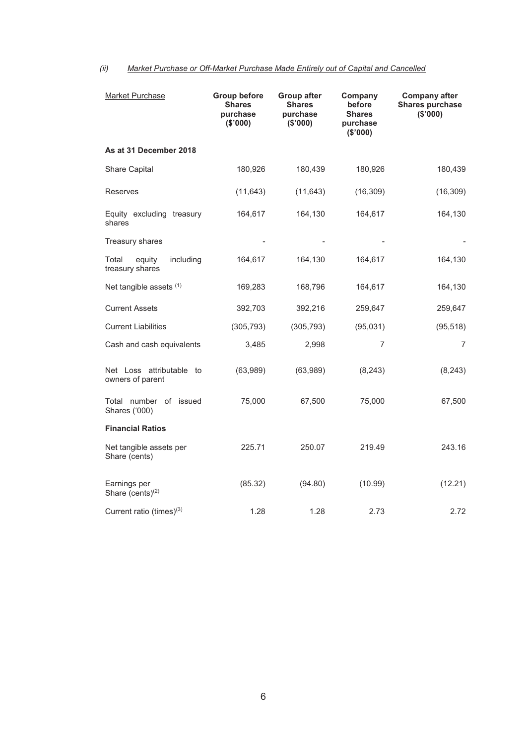| Market Purchase                                 | <b>Group before</b><br><b>Shares</b><br>purchase<br>(\$'000) | <b>Group after</b><br><b>Shares</b><br>purchase<br>(\$'000) | Company<br>before<br><b>Shares</b><br>purchase<br>(\$'000) | <b>Company after</b><br><b>Shares purchase</b><br>(\$'000) |
|-------------------------------------------------|--------------------------------------------------------------|-------------------------------------------------------------|------------------------------------------------------------|------------------------------------------------------------|
| As at 31 December 2018                          |                                                              |                                                             |                                                            |                                                            |
| Share Capital                                   | 180,926                                                      | 180,439                                                     | 180,926                                                    | 180,439                                                    |
| Reserves                                        | (11, 643)                                                    | (11, 643)                                                   | (16, 309)                                                  | (16, 309)                                                  |
| Equity excluding treasury<br>shares             | 164,617                                                      | 164,130                                                     | 164,617                                                    | 164,130                                                    |
| Treasury shares                                 | $\overline{a}$                                               |                                                             |                                                            |                                                            |
| Total<br>equity<br>including<br>treasury shares | 164,617                                                      | 164,130                                                     | 164,617                                                    | 164,130                                                    |
| Net tangible assets (1)                         | 169,283                                                      | 168,796                                                     | 164,617                                                    | 164,130                                                    |
| <b>Current Assets</b>                           | 392,703                                                      | 392,216                                                     | 259,647                                                    | 259,647                                                    |
| <b>Current Liabilities</b>                      | (305, 793)                                                   | (305, 793)                                                  | (95,031)                                                   | (95, 518)                                                  |
| Cash and cash equivalents                       | 3,485                                                        | 2,998                                                       | 7                                                          | 7                                                          |
| Net Loss attributable to<br>owners of parent    | (63,989)                                                     | (63,989)                                                    | (8, 243)                                                   | (8, 243)                                                   |
| Total number of issued<br>Shares ('000)         | 75,000                                                       | 67,500                                                      | 75,000                                                     | 67,500                                                     |
| <b>Financial Ratios</b>                         |                                                              |                                                             |                                                            |                                                            |
| Net tangible assets per<br>Share (cents)        | 225.71                                                       | 250.07                                                      | 219.49                                                     | 243.16                                                     |
| Earnings per<br>Share (cents) $(2)$             | (85.32)                                                      | (94.80)                                                     | (10.99)                                                    | (12.21)                                                    |
| Current ratio (times)(3)                        | 1.28                                                         | 1.28                                                        | 2.73                                                       | 2.72                                                       |

*(ii) Market Purchase or Off-Market Purchase Made Entirely out of Capital and Cancelled*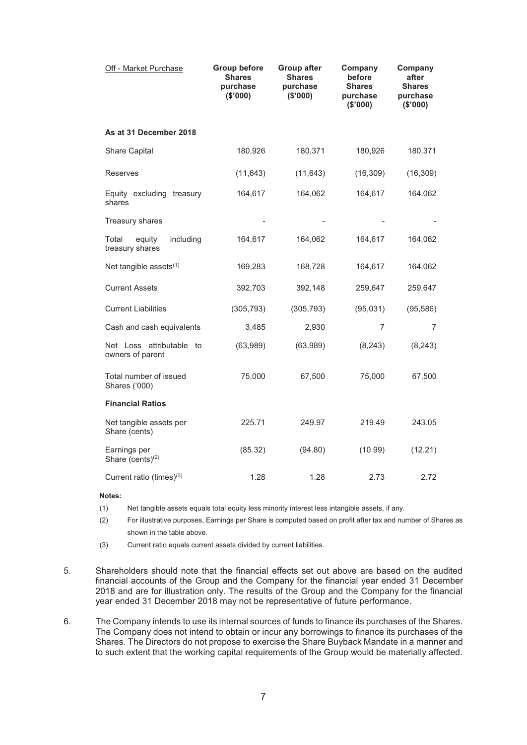| Off - Market Purchase                           | <b>Group before</b><br><b>Shares</b><br>purchase<br>(\$'000) | <b>Group after</b><br><b>Shares</b><br>purchase<br>(\$'000) | Company<br>before<br><b>Shares</b><br>purchase<br>(\$'000) | Company<br>after<br><b>Shares</b><br>purchase<br>(\$'000) |  |
|-------------------------------------------------|--------------------------------------------------------------|-------------------------------------------------------------|------------------------------------------------------------|-----------------------------------------------------------|--|
| As at 31 December 2018                          |                                                              |                                                             |                                                            |                                                           |  |
| <b>Share Capital</b>                            | 180,926                                                      | 180,371                                                     | 180,926                                                    | 180,371                                                   |  |
| Reserves                                        | (11, 643)                                                    | (11, 643)                                                   | (16, 309)                                                  | (16, 309)                                                 |  |
| Equity excluding treasury<br>shares             | 164,617                                                      | 164,062                                                     | 164,617                                                    | 164,062                                                   |  |
| <b>Treasury shares</b>                          |                                                              |                                                             |                                                            |                                                           |  |
| including<br>Total<br>equity<br>treasury shares | 164,617                                                      | 164,062                                                     | 164,617                                                    | 164,062                                                   |  |
| Net tangible assets <sup>(1)</sup>              | 169,283                                                      | 168,728                                                     | 164,617                                                    | 164,062                                                   |  |
| <b>Current Assets</b>                           | 392,703                                                      | 392,148                                                     | 259,647                                                    | 259,647                                                   |  |
| <b>Current Liabilities</b>                      | (305, 793)                                                   | (305, 793)                                                  | (95,031)                                                   | (95, 586)                                                 |  |
| Cash and cash equivalents                       | 3,485                                                        | 2,930                                                       | 7                                                          | 7                                                         |  |
| Net Loss attributable to<br>owners of parent    | (63,989)                                                     | (63,989)                                                    | (8, 243)                                                   | (8, 243)                                                  |  |
| Total number of issued<br>Shares ('000)         | 75,000                                                       | 67,500                                                      | 75,000                                                     | 67,500                                                    |  |
| <b>Financial Ratios</b>                         |                                                              |                                                             |                                                            |                                                           |  |
| Net tangible assets per<br>Share (cents)        | 225.71                                                       | 249.97                                                      | 219.49                                                     | 243.05                                                    |  |
| Earnings per<br>Share (cents) $(2)$             | (85.32)                                                      | (94.80)                                                     | (10.99)                                                    | (12.21)                                                   |  |
| Current ratio (times)(3)                        | 1.28                                                         | 1.28                                                        | 2.73                                                       | 2.72                                                      |  |

#### **Notes:**

(1) Net tangible assets equals total equity less minority interest less intangible assets, if any.

(2) For illustrative purposes, Earnings per Share is computed based on profit after tax and number of Shares as shown in the table above.

(3) Current ratio equals current assets divided by current liabilities.

- 5. Shareholders should note that the financial effects set out above are based on the audited financial accounts of the Group and the Company for the financial year ended 31 December 2018 and are for illustration only. The results of the Group and the Company for the financial year ended 31 December 2018 may not be representative of future performance.
- 6. The Company intends to use its internal sources of funds to finance its purchases of the Shares. The Company does not intend to obtain or incur any borrowings to finance its purchases of the Shares. The Directors do not propose to exercise the Share Buyback Mandate in a manner and to such extent that the working capital requirements of the Group would be materially affected.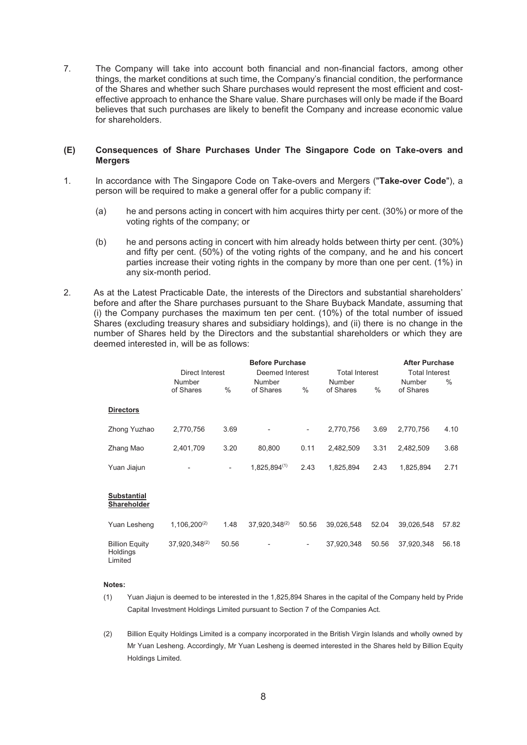7. The Company will take into account both financial and non-financial factors, among other things, the market conditions at such time, the Company's financial condition, the performance of the Shares and whether such Share purchases would represent the most efficient and costeffective approach to enhance the Share value. Share purchases will only be made if the Board believes that such purchases are likely to benefit the Company and increase economic value for shareholders.

## **(E) Consequences of Share Purchases Under The Singapore Code on Take-overs and Mergers**

- 1. In accordance with The Singapore Code on Take-overs and Mergers ("**Take-over Code**"), a person will be required to make a general offer for a public company if:
	- (a) he and persons acting in concert with him acquires thirty per cent. (30%) or more of the voting rights of the company; or
	- (b) he and persons acting in concert with him already holds between thirty per cent. (30%) and fifty per cent. (50%) of the voting rights of the company, and he and his concert parties increase their voting rights in the company by more than one per cent. (1%) in any six-month period.
- 2. As at the Latest Practicable Date, the interests of the Directors and substantial shareholders' before and after the Share purchases pursuant to the Share Buyback Mandate, assuming that (i) the Company purchases the maximum ten per cent. (10%) of the total number of issued Shares (excluding treasury shares and subsidiary holdings), and (ii) there is no change in the number of Shares held by the Directors and the substantial shareholders or which they are deemed interested in, will be as follows:

| <b>Before Purchase</b>                        |                     |                          |                              |                          |                       |               | <b>After Purchase</b> |       |  |
|-----------------------------------------------|---------------------|--------------------------|------------------------------|--------------------------|-----------------------|---------------|-----------------------|-------|--|
|                                               | Direct Interest     |                          | Deemed Interest              |                          | <b>Total Interest</b> |               | <b>Total Interest</b> |       |  |
|                                               | Number<br>of Shares | $\%$                     | Number<br>of Shares          | $\%$                     | Number<br>of Shares   | $\frac{0}{0}$ | Number<br>of Shares   | $\%$  |  |
| <b>Directors</b>                              |                     |                          |                              |                          |                       |               |                       |       |  |
| Zhong Yuzhao                                  | 2,770,756           | 3.69                     | $\qquad \qquad \blacksquare$ | ۰                        | 2,770,756             | 3.69          | 2,770,756             | 4.10  |  |
| Zhang Mao                                     | 2,401,709           | 3.20                     | 80,800                       | 0.11                     | 2,482,509             | 3.31          | 2,482,509             | 3.68  |  |
| Yuan Jiajun                                   |                     | $\overline{\phantom{a}}$ | $1,825,894^{(1)}$            | 2.43                     | 1,825,894             | 2.43          | 1,825,894             | 2.71  |  |
| <b>Substantial</b><br>Shareholder             |                     |                          |                              |                          |                       |               |                       |       |  |
| Yuan Lesheng                                  | $1,106,200^{(2)}$   | 1.48                     | $37.920.348^{(2)}$           | 50.56                    | 39,026,548            | 52.04         | 39,026,548            | 57.82 |  |
| <b>Billion Equity</b><br>Holdings<br>l imitad | 37,920,348(2)       | 50.56                    | $\qquad \qquad \blacksquare$ | $\overline{\phantom{a}}$ | 37,920,348            | 50.56         | 37,920,348            | 56.18 |  |

#### **Notes:**

- (1) Yuan Jiajun is deemed to be interested in the 1,825,894 Shares in the capital of the Company held by Pride Capital Investment Holdings Limited pursuant to Section 7 of the Companies Act.
- (2) Billion Equity Holdings Limited is a company incorporated in the British Virgin Islands and wholly owned by Mr Yuan Lesheng. Accordingly, Mr Yuan Lesheng is deemed interested in the Shares held by Billion Equity Holdings Limited.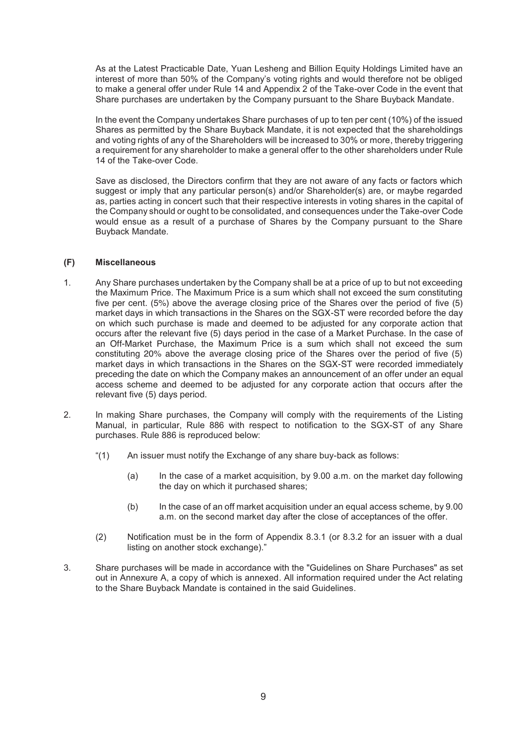As at the Latest Practicable Date, Yuan Lesheng and Billion Equity Holdings Limited have an interest of more than 50% of the Company's voting rights and would therefore not be obliged to make a general offer under Rule 14 and Appendix 2 of the Take-over Code in the event that Share purchases are undertaken by the Company pursuant to the Share Buyback Mandate.

In the event the Company undertakes Share purchases of up to ten per cent (10%) of the issued Shares as permitted by the Share Buyback Mandate, it is not expected that the shareholdings and voting rights of any of the Shareholders will be increased to 30% or more, thereby triggering a requirement for any shareholder to make a general offer to the other shareholders under Rule 14 of the Take-over Code.

Save as disclosed, the Directors confirm that they are not aware of any facts or factors which suggest or imply that any particular person(s) and/or Shareholder(s) are, or maybe regarded as, parties acting in concert such that their respective interests in voting shares in the capital of the Company should or ought to be consolidated, and consequences under the Take-over Code would ensue as a result of a purchase of Shares by the Company pursuant to the Share Buyback Mandate.

# **(F) Miscellaneous**

- 1. Any Share purchases undertaken by the Company shall be at a price of up to but not exceeding the Maximum Price. The Maximum Price is a sum which shall not exceed the sum constituting five per cent. (5%) above the average closing price of the Shares over the period of five (5) market days in which transactions in the Shares on the SGX-ST were recorded before the day on which such purchase is made and deemed to be adjusted for any corporate action that occurs after the relevant five (5) days period in the case of a Market Purchase. In the case of an Off-Market Purchase, the Maximum Price is a sum which shall not exceed the sum constituting 20% above the average closing price of the Shares over the period of five (5) market days in which transactions in the Shares on the SGX-ST were recorded immediately preceding the date on which the Company makes an announcement of an offer under an equal access scheme and deemed to be adjusted for any corporate action that occurs after the relevant five (5) days period.
- 2. In making Share purchases, the Company will comply with the requirements of the Listing Manual, in particular, Rule 886 with respect to notification to the SGX-ST of any Share purchases. Rule 886 is reproduced below:
	- ³(1) An issuer must notify the Exchange of any share buy-back as follows:
		- (a) In the case of a market acquisition, by 9.00 a.m. on the market day following the day on which it purchased shares;
		- $(b)$  In the case of an off market acquisition under an equal access scheme, by 9.00 a.m. on the second market day after the close of acceptances of the offer.
	- (2) Notification must be in the form of Appendix 8.3.1 (or 8.3.2 for an issuer with a dual listing on another stock exchange)."
- 3. Share purchases will be made in accordance with the "Guidelines on Share Purchases" as set out in Annexure A, a copy of which is annexed. All information required under the Act relating to the Share Buyback Mandate is contained in the said Guidelines.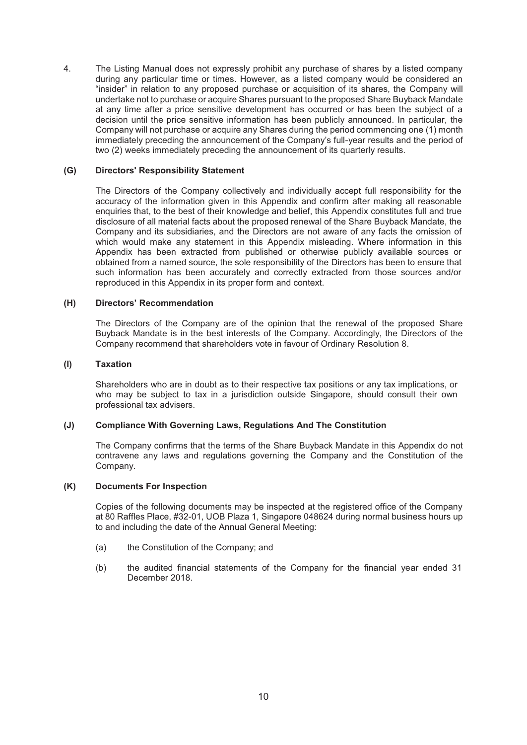4. The Listing Manual does not expressly prohibit any purchase of shares by a listed company during any particular time or times. However, as a listed company would be considered an "insider" in relation to any proposed purchase or acquisition of its shares, the Company will undertake not to purchase or acquire Shares pursuant to the proposed Share Buyback Mandate at any time after a price sensitive development has occurred or has been the subject of a decision until the price sensitive information has been publicly announced. In particular, the Company will not purchase or acquire any Shares during the period commencing one (1) month immediately preceding the announcement of the Company's full-year results and the period of two (2) weeks immediately preceding the announcement of its quarterly results.

## **(G) Directors' Responsibility Statement**

 The Directors of the Company collectively and individually accept full responsibility for the accuracy of the information given in this Appendix and confirm after making all reasonable enquiries that, to the best of their knowledge and belief, this Appendix constitutes full and true disclosure of all material facts about the proposed renewal of the Share Buyback Mandate, the Company and its subsidiaries, and the Directors are not aware of any facts the omission of which would make any statement in this Appendix misleading. Where information in this Appendix has been extracted from published or otherwise publicly available sources or obtained from a named source, the sole responsibility of the Directors has been to ensure that such information has been accurately and correctly extracted from those sources and/or reproduced in this Appendix in its proper form and context.

## **(H)** Directors' Recommendation

The Directors of the Company are of the opinion that the renewal of the proposed Share Buyback Mandate is in the best interests of the Company. Accordingly, the Directors of the Company recommend that shareholders vote in favour of Ordinary Resolution 8.

## **(I) Taxation**

Shareholders who are in doubt as to their respective tax positions or any tax implications, or who may be subject to tax in a jurisdiction outside Singapore, should consult their own professional tax advisers.

#### **(J) Compliance With Governing Laws, Regulations And The Constitution**

The Company confirms that the terms of the Share Buyback Mandate in this Appendix do not contravene any laws and regulations governing the Company and the Constitution of the Company.

#### **(K) Documents For Inspection**

Copies of the following documents may be inspected at the registered office of the Company at 80 Raffles Place, #32-01, UOB Plaza 1, Singapore 048624 during normal business hours up to and including the date of the Annual General Meeting:

- (a) the Constitution of the Company; and
- (b) the audited financial statements of the Company for the financial year ended 31 December 2018.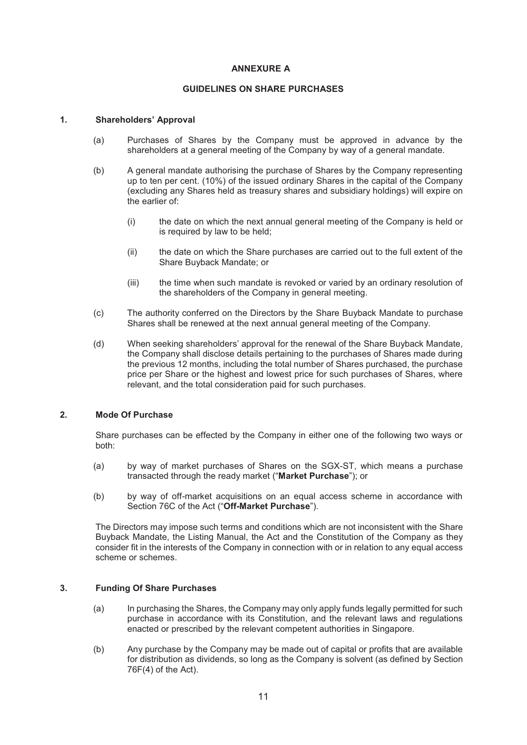## **ANNEXURE A**

## **GUIDELINES ON SHARE PURCHASES**

#### 1. **Shareholders' Approval**

- (a) Purchases of Shares by the Company must be approved in advance by the shareholders at a general meeting of the Company by way of a general mandate.
- (b) A general mandate authorising the purchase of Shares by the Company representing up to ten per cent. (10%) of the issued ordinary Shares in the capital of the Company (excluding any Shares held as treasury shares and subsidiary holdings) will expire on the earlier of:
	- (i) the date on which the next annual general meeting of the Company is held or is required by law to be held;
	- (ii) the date on which the Share purchases are carried out to the full extent of the Share Buyback Mandate; or
	- (iii) the time when such mandate is revoked or varied by an ordinary resolution of the shareholders of the Company in general meeting.
- (c) The authority conferred on the Directors by the Share Buyback Mandate to purchase Shares shall be renewed at the next annual general meeting of the Company.
- (d) When seeking shareholders' approval for the renewal of the Share Buyback Mandate, the Company shall disclose details pertaining to the purchases of Shares made during the previous 12 months, including the total number of Shares purchased, the purchase price per Share or the highest and lowest price for such purchases of Shares, where relevant, and the total consideration paid for such purchases.

## **2. Mode Of Purchase**

Share purchases can be effected by the Company in either one of the following two ways or both:

- (a) by way of market purchases of Shares on the SGX-ST, which means a purchase transacted through the ready market ("Market Purchase"); or
- (b) by way of off-market acquisitions on an equal access scheme in accordance with Section 76C of the Act ("Off-Market Purchase").

The Directors may impose such terms and conditions which are not inconsistent with the Share Buyback Mandate, the Listing Manual, the Act and the Constitution of the Company as they consider fit in the interests of the Company in connection with or in relation to any equal access scheme or schemes.

# **3. Funding Of Share Purchases**

- (a) In purchasing the Shares, the Company may only apply funds legally permitted for such purchase in accordance with its Constitution, and the relevant laws and regulations enacted or prescribed by the relevant competent authorities in Singapore.
- (b) Any purchase by the Company may be made out of capital or profits that are available for distribution as dividends, so long as the Company is solvent (as defined by Section  $76F(4)$  of the Act).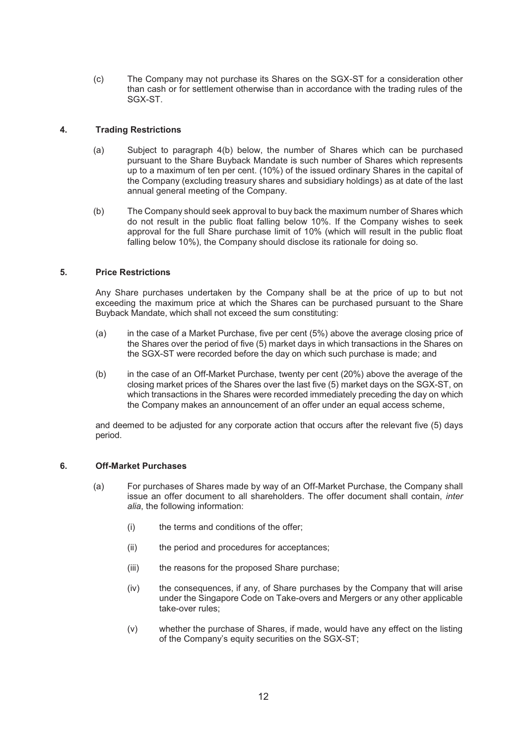(c) The Company may not purchase its Shares on the SGX-ST for a consideration other than cash or for settlement otherwise than in accordance with the trading rules of the SGX-ST.

# **4. Trading Restrictions**

- (a) Subject to paragraph 4(b) below, the number of Shares which can be purchased pursuant to the Share Buyback Mandate is such number of Shares which represents up to a maximum of ten per cent. (10%) of the issued ordinary Shares in the capital of the Company (excluding treasury shares and subsidiary holdings) as at date of the last annual general meeting of the Company.
- (b) The Company should seek approval to buy back the maximum number of Shares which do not result in the public float falling below 10%. If the Company wishes to seek approval for the full Share purchase limit of 10% (which will result in the public float falling below 10%), the Company should disclose its rationale for doing so.

## **5. Price Restrictions**

Any Share purchases undertaken by the Company shall be at the price of up to but not exceeding the maximum price at which the Shares can be purchased pursuant to the Share Buyback Mandate, which shall not exceed the sum constituting:

- (a) in the case of a Market Purchase, five per cent (5%) above the average closing price of the Shares over the period of five (5) market days in which transactions in the Shares on the SGX-ST were recorded before the day on which such purchase is made; and
- (b) in the case of an Off-Market Purchase, twenty per cent (20%) above the average of the closing market prices of the Shares over the last five (5) market days on the SGX-ST, on which transactions in the Shares were recorded immediately preceding the day on which the Company makes an announcement of an offer under an equal access scheme,

and deemed to be adjusted for any corporate action that occurs after the relevant five (5) days period.

## **6. Off-Market Purchases**

- (a) For purchases of Shares made by way of an Off-Market Purchase, the Company shall issue an offer document to all shareholders. The offer document shall contain, *inter alia*, the following information:
	- (i) the terms and conditions of the offer;
	- (ii) the period and procedures for acceptances;
	- (iii) the reasons for the proposed Share purchase;
	- (iv) the consequences, if any, of Share purchases by the Company that will arise under the Singapore Code on Take-overs and Mergers or any other applicable take-over rules;
	- (v) whether the purchase of Shares, if made, would have any effect on the listing of the Company's equity securities on the SGX-ST;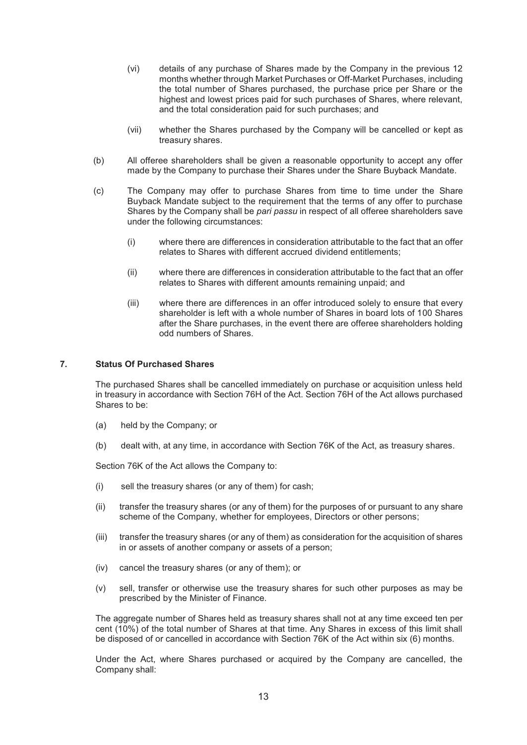- (vi) details of any purchase of Shares made by the Company in the previous 12 months whether through Market Purchases or Off-Market Purchases, including the total number of Shares purchased, the purchase price per Share or the highest and lowest prices paid for such purchases of Shares, where relevant, and the total consideration paid for such purchases; and
- (vii) whether the Shares purchased by the Company will be cancelled or kept as treasury shares.
- (b) All offeree shareholders shall be given a reasonable opportunity to accept any offer made by the Company to purchase their Shares under the Share Buyback Mandate.
- (c) The Company may offer to purchase Shares from time to time under the Share Buyback Mandate subject to the requirement that the terms of any offer to purchase Shares by the Company shall be *pari passu* in respect of all offeree shareholders save under the following circumstances:
	- (i) where there are differences in consideration attributable to the fact that an offer relates to Shares with different accrued dividend entitlements;
	- (ii) where there are differences in consideration attributable to the fact that an offer relates to Shares with different amounts remaining unpaid; and
	- (iii) where there are differences in an offer introduced solely to ensure that every shareholder is left with a whole number of Shares in board lots of 100 Shares after the Share purchases, in the event there are offeree shareholders holding odd numbers of Shares.

#### **7. Status Of Purchased Shares**

The purchased Shares shall be cancelled immediately on purchase or acquisition unless held in treasury in accordance with Section 76H of the Act. Section 76H of the Act allows purchased Shares to be:

- (a) held by the Company; or
- (b) dealt with, at any time, in accordance with Section 76K of the Act, as treasury shares.

Section 76K of the Act allows the Company to:

- (i) sell the treasury shares (or any of them) for cash;
- (ii) transfer the treasury shares (or any of them) for the purposes of or pursuant to any share scheme of the Company, whether for employees, Directors or other persons;
- (iii) transfer the treasury shares (or any of them) as consideration for the acquisition of shares in or assets of another company or assets of a person;
- (iv) cancel the treasury shares (or any of them); or
- (v) sell, transfer or otherwise use the treasury shares for such other purposes as may be prescribed by the Minister of Finance.

The aggregate number of Shares held as treasury shares shall not at any time exceed ten per cent (10%) of the total number of Shares at that time. Any Shares in excess of this limit shall be disposed of or cancelled in accordance with Section 76K of the Act within six (6) months.

Under the Act, where Shares purchased or acquired by the Company are cancelled, the Company shall: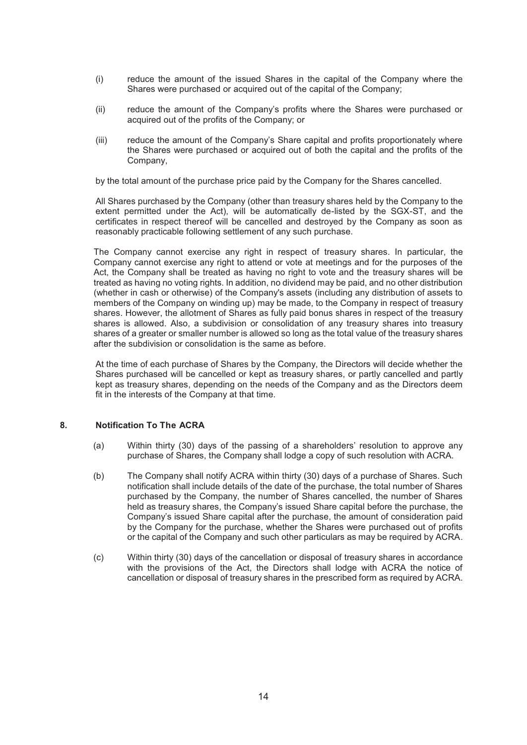- (i) reduce the amount of the issued Shares in the capital of the Company where the Shares were purchased or acquired out of the capital of the Company;
- (ii) reduce the amount of the Company's profits where the Shares were purchased or acquired out of the profits of the Company; or
- (iii) reduce the amount of the Company's Share capital and profits proportionately where the Shares were purchased or acquired out of both the capital and the profits of the Company,

by the total amount of the purchase price paid by the Company for the Shares cancelled.

All Shares purchased by the Company (other than treasury shares held by the Company to the extent permitted under the Act), will be automatically de-listed by the SGX-ST, and the certificates in respect thereof will be cancelled and destroyed by the Company as soon as reasonably practicable following settlement of any such purchase.

The Company cannot exercise any right in respect of treasury shares. In particular, the Company cannot exercise any right to attend or vote at meetings and for the purposes of the Act, the Company shall be treated as having no right to vote and the treasury shares will be treated as having no voting rights. In addition, no dividend may be paid, and no other distribution (whether in cash or otherwise) of the Company's assets (including any distribution of assets to members of the Company on winding up) may be made, to the Company in respect of treasury shares. However, the allotment of Shares as fully paid bonus shares in respect of the treasury shares is allowed. Also, a subdivision or consolidation of any treasury shares into treasury shares of a greater or smaller number is allowed so long as the total value of the treasury shares after the subdivision or consolidation is the same as before.

At the time of each purchase of Shares by the Company, the Directors will decide whether the Shares purchased will be cancelled or kept as treasury shares, or partly cancelled and partly kept as treasury shares, depending on the needs of the Company and as the Directors deem fit in the interests of the Company at that time.

# **8. Notification To The ACRA**

- (a) Within thirty (30) days of the passing of a shareholders' resolution to approve any purchase of Shares, the Company shall lodge a copy of such resolution with ACRA.
- (b) The Company shall notify ACRA within thirty (30) days of a purchase of Shares. Such notification shall include details of the date of the purchase, the total number of Shares purchased by the Company, the number of Shares cancelled, the number of Shares held as treasury shares, the Company's issued Share capital before the purchase, the Company's issued Share capital after the purchase, the amount of consideration paid by the Company for the purchase, whether the Shares were purchased out of profits or the capital of the Company and such other particulars as may be required by ACRA.
- (c) Within thirty (30) days of the cancellation or disposal of treasury shares in accordance with the provisions of the Act, the Directors shall lodge with ACRA the notice of cancellation or disposal of treasury shares in the prescribed form as required by ACRA.